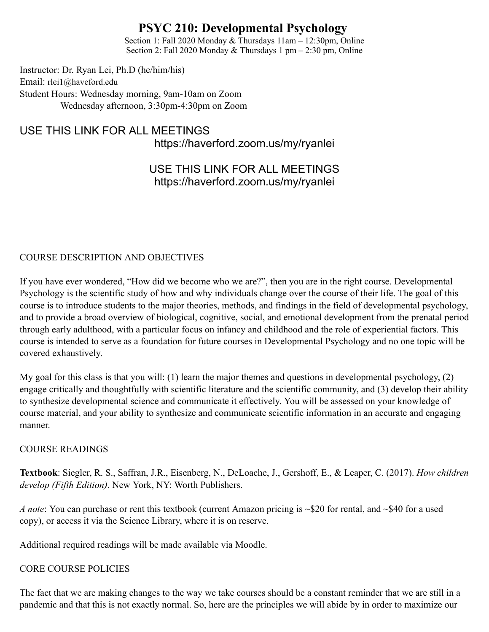# **PSYC 210: Developmental Psychology**

Section 1: Fall 2020 Monday & Thursdays 11am – 12:30pm, Online Section 2: Fall 2020 Monday & Thursdays 1 pm – 2:30 pm, Online

Instructor: Dr. Ryan Lei, Ph.D (he/him/his) Email: rlei1@haveford.edu Student Hours: Wednesday morning, 9am-10am on Zoom Wednesday afternoon, 3:30pm-4:30pm on Zoom

USE THIS LINK FOR ALL MEETINGS https://haverford.zoom.us/my/ryanlei

# USE THIS LINK FOR ALL MEETINGS https://haverford.zoom.us/my/ryanlei

### COURSE DESCRIPTION AND OBJECTIVES

If you have ever wondered, "How did we become who we are?", then you are in the right course. Developmental Psychology is the scientific study of how and why individuals change over the course of their life. The goal of this course is to introduce students to the major theories, methods, and findings in the field of developmental psychology, and to provide a broad overview of biological, cognitive, social, and emotional development from the prenatal period through early adulthood, with a particular focus on infancy and childhood and the role of experiential factors. This course is intended to serve as a foundation for future courses in Developmental Psychology and no one topic will be covered exhaustively.

My goal for this class is that you will: (1) learn the major themes and questions in developmental psychology, (2) engage critically and thoughtfully with scientific literature and the scientific community, and (3) develop their ability to synthesize developmental science and communicate it effectively. You will be assessed on your knowledge of course material, and your ability to synthesize and communicate scientific information in an accurate and engaging manner.

#### COURSE READINGS

**Textbook**: Siegler, R. S., Saffran, J.R., Eisenberg, N., DeLoache, J., Gershoff, E., & Leaper, C. (2017). *How children develop (Fifth Edition)*. New York, NY: Worth Publishers.

*A note*: You can purchase or rent this textbook (current Amazon pricing is ~\$20 for rental, and ~\$40 for a used copy), or access it via the Science Library, where it is on reserve.

Additional required readings will be made available via Moodle.

#### CORE COURSE POLICIES

The fact that we are making changes to the way we take courses should be a constant reminder that we are still in a pandemic and that this is not exactly normal. So, here are the principles we will abide by in order to maximize our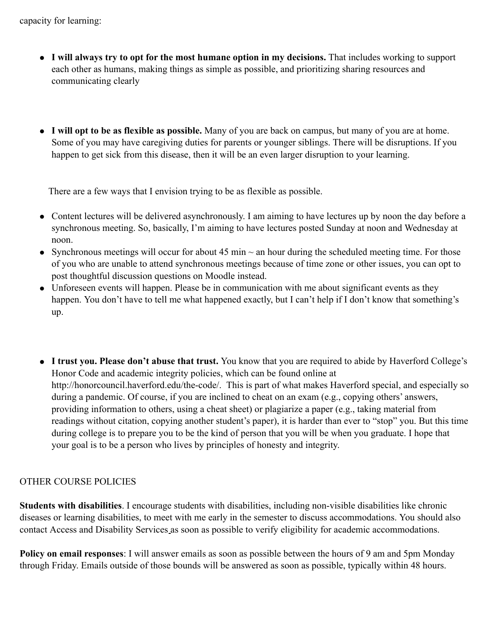- **I will always try to opt for the most humane option in my decisions.** That includes working to support each other as humans, making things as simple as possible, and prioritizing sharing resources and communicating clearly
- **I will opt to be as flexible as possible.** Many of you are back on campus, but many of you are at home. Some of you may have caregiving duties for parents or younger siblings. There will be disruptions. If you happen to get sick from this disease, then it will be an even larger disruption to your learning.

There are a few ways that I envision trying to be as flexible as possible.

- Content lectures will be delivered asynchronously. I am aiming to have lectures up by noon the day before a synchronous meeting. So, basically, I'm aiming to have lectures posted Sunday at noon and Wednesday at noon.
- Synchronous meetings will occur for about 45 min  $\sim$  an hour during the scheduled meeting time. For those of you who are unable to attend synchronous meetings because of time zone or other issues, you can opt to post thoughtful discussion questions on Moodle instead.
- Unforeseen events will happen. Please be in communication with me about significant events as they happen. You don't have to tell me what happened exactly, but I can't help if I don't know that something's up.
- **I trust you. Please don't abuse that trust.** You know that you are required to abide by Haverford College's Honor Code and academic integrity policies, which can be found online at http://honorcouncil.haverford.edu/the-code/. This is part of what makes Haverford special, and especially so during a pandemic. Of course, if you are inclined to cheat on an exam (e.g., copying others' answers, providing information to others, using a cheat sheet) or plagiarize a paper (e.g., taking material from readings without citation, copying another student's paper), it is harder than ever to "stop" you. But this time during college is to prepare you to be the kind of person that you will be when you graduate. I hope that your goal is to be a person who lives by principles of honesty and integrity.

### OTHER COURSE POLICIES

**Students with disabilities**. I encourage students with disabilities, including non-visible disabilities like chronic diseases or learning disabilities, to meet with me early in the semester to discuss accommodations. You should also contact Access and Disability Services as soon as possible to verify eligibility for academic accommodations.

**Policy on email responses**: I will answer emails as soon as possible between the hours of 9 am and 5pm Monday through Friday. Emails outside of those bounds will be answered as soon as possible, typically within 48 hours.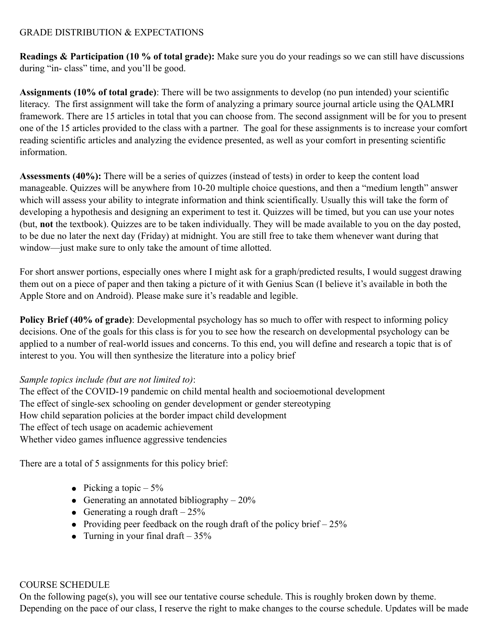#### GRADE DISTRIBUTION & EXPECTATIONS

**Readings & Participation (10 % of total grade):** Make sure you do your readings so we can still have discussions during "in- class" time, and you'll be good.

**Assignments (10% of total grade)**: There will be two assignments to develop (no pun intended) your scientific literacy. The first assignment will take the form of analyzing a primary source journal article using the QALMRI framework. There are 15 articles in total that you can choose from. The second assignment will be for you to present one of the 15 articles provided to the class with a partner. The goal for these assignments is to increase your comfort reading scientific articles and analyzing the evidence presented, as well as your comfort in presenting scientific information.

**Assessments (40%):** There will be a series of quizzes (instead of tests) in order to keep the content load manageable. Quizzes will be anywhere from 10-20 multiple choice questions, and then a "medium length" answer which will assess your ability to integrate information and think scientifically. Usually this will take the form of developing a hypothesis and designing an experiment to test it. Quizzes will be timed, but you can use your notes (but, **not** the textbook). Quizzes are to be taken individually. They will be made available to you on the day posted, to be due no later the next day (Friday) at midnight. You are still free to take them whenever want during that window—just make sure to only take the amount of time allotted.

For short answer portions, especially ones where I might ask for a graph/predicted results, I would suggest drawing them out on a piece of paper and then taking a picture of it with Genius Scan (I believe it's available in both the Apple Store and on Android). Please make sure it's readable and legible.

**Policy Brief (40% of grade)**: Developmental psychology has so much to offer with respect to informing policy decisions. One of the goals for this class is for you to see how the research on developmental psychology can be applied to a number of real-world issues and concerns. To this end, you will define and research a topic that is of interest to you. You will then synthesize the literature into a policy brief

### *Sample topics include (but are not limited to)*:

The effect of the COVID-19 pandemic on child mental health and socioemotional development The effect of single-sex schooling on gender development or gender stereotyping How child separation policies at the border impact child development The effect of tech usage on academic achievement Whether video games influence aggressive tendencies

There are a total of 5 assignments for this policy brief:

- Picking a topic  $-5\%$
- Generating an annotated bibliography  $-20\%$
- Generating a rough draft  $-25%$
- Providing peer feedback on the rough draft of the policy brief  $-25\%$
- Turning in your final draft  $-35%$

### COURSE SCHEDULE

On the following page(s), you will see our tentative course schedule. This is roughly broken down by theme. Depending on the pace of our class, I reserve the right to make changes to the course schedule. Updates will be made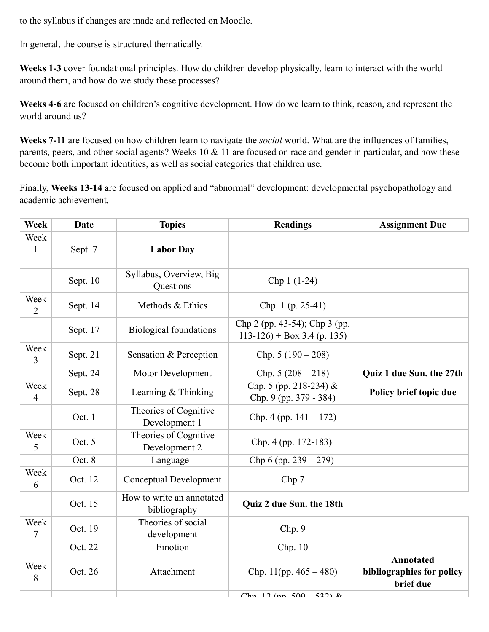to the syllabus if changes are made and reflected on Moodle.

In general, the course is structured thematically.

**Weeks 1-3** cover foundational principles. How do children develop physically, learn to interact with the world around them, and how do we study these processes?

**Weeks 4-6** are focused on children's cognitive development. How do we learn to think, reason, and represent the world around us?

**Weeks 7-11** are focused on how children learn to navigate the *social* world. What are the influences of families, parents, peers, and other social agents? Weeks 10  $\&$  11 are focused on race and gender in particular, and how these become both important identities, as well as social categories that children use.

Finally, **Weeks 13-14** are focused on applied and "abnormal" development: developmental psychopathology and academic achievement.

| <b>Week</b>            | <b>Date</b> | <b>Topics</b>                             | <b>Readings</b>                                               | <b>Assignment Due</b>                               |
|------------------------|-------------|-------------------------------------------|---------------------------------------------------------------|-----------------------------------------------------|
| Week<br>$\mathbf{1}$   | Sept. 7     | <b>Labor Day</b>                          |                                                               |                                                     |
|                        | Sept. 10    | Syllabus, Overview, Big<br>Questions      | Chp 1 (1-24)                                                  |                                                     |
| Week<br>$\overline{2}$ | Sept. 14    | Methods & Ethics                          | Chp. 1 (p. 25-41)                                             |                                                     |
|                        | Sept. 17    | <b>Biological foundations</b>             | Chp 2 (pp. 43-54); Chp 3 (pp.<br>$113-126$ + Box 3.4 (p. 135) |                                                     |
| Week<br>3              | Sept. 21    | Sensation & Perception                    | Chp. $5(190-208)$                                             |                                                     |
|                        | Sept. 24    | Motor Development                         | Chp. $5(208-218)$                                             | Quiz 1 due Sun. the 27th                            |
| Week<br>$\overline{4}$ | Sept. 28    | Learning $&$ Thinking                     | Chp. 5 (pp. 218-234) &<br>Chp. 9 (pp. 379 - 384)              | Policy brief topic due                              |
|                        | Oct. 1      | Theories of Cognitive<br>Development 1    | Chp. 4 (pp. $141 - 172$ )                                     |                                                     |
| Week<br>5              | Oct. 5      | Theories of Cognitive<br>Development 2    | Chp. 4 (pp. 172-183)                                          |                                                     |
|                        | Oct. 8      | Language                                  | Chp 6 (pp. $239 - 279$ )                                      |                                                     |
| Week<br>6              | Oct. 12     | <b>Conceptual Development</b>             | Chp 7                                                         |                                                     |
|                        | Oct. 15     | How to write an annotated<br>bibliography | Quiz 2 due Sun. the 18th                                      |                                                     |
| Week<br>7              | Oct. 19     | Theories of social<br>development         | Chp. 9                                                        |                                                     |
|                        | Oct. 22     | Emotion                                   | Chp. 10                                                       |                                                     |
| Week<br>8              | Oct. 26     | Attachment                                | Chp. 11(pp. $465 - 480$ )                                     | Annotated<br>bibliographies for policy<br>brief due |
|                        |             |                                           | $C_{\rm km}$ 12 (mm $500$ )<br>5221                           |                                                     |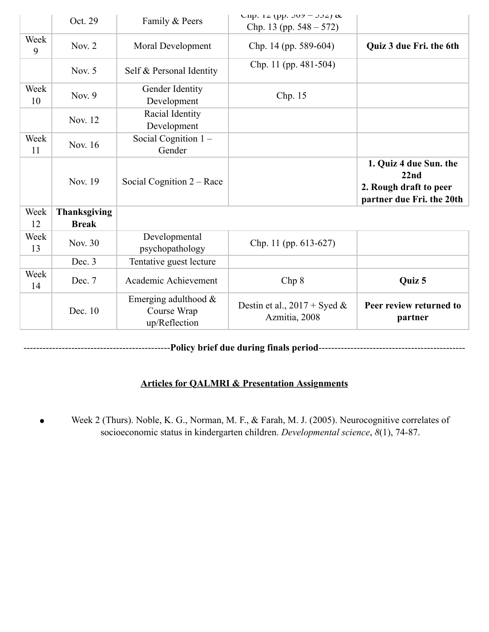|            | Oct. 29                             | Family & Peers                                          | UIID. $12$ (pp. $307 - 332$ ) $\alpha$<br>Chp. 13 (pp. $548 - 572$ ) |                                                                                       |
|------------|-------------------------------------|---------------------------------------------------------|----------------------------------------------------------------------|---------------------------------------------------------------------------------------|
| Week<br>9  | Nov. $2$                            | Moral Development                                       | Chp. 14 (pp. 589-604)                                                | Quiz 3 due Fri. the 6th                                                               |
|            | Nov. $5$                            | Self & Personal Identity                                | Chp. 11 (pp. 481-504)                                                |                                                                                       |
| Week<br>10 | Nov. $9$                            | Gender Identity<br>Development                          | Chp. 15                                                              |                                                                                       |
|            | Nov. 12                             | Racial Identity<br>Development                          |                                                                      |                                                                                       |
| Week<br>11 | Nov. 16                             | Social Cognition $1 -$<br>Gender                        |                                                                      |                                                                                       |
|            | Nov. 19                             | Social Cognition $2 -$ Race                             |                                                                      | 1. Quiz 4 due Sun. the<br>22nd<br>2. Rough draft to peer<br>partner due Fri. the 20th |
| Week<br>12 | <b>Thanksgiving</b><br><b>Break</b> |                                                         |                                                                      |                                                                                       |
| Week<br>13 | Nov. 30                             | Developmental<br>psychopathology                        | Chp. 11 (pp. 613-627)                                                |                                                                                       |
|            | Dec. 3                              | Tentative guest lecture                                 |                                                                      |                                                                                       |
| Week<br>14 | Dec. 7                              | Academic Achievement                                    | Chp 8                                                                | Quiz 5                                                                                |
|            | Dec. 10                             | Emerging adulthood $\&$<br>Course Wrap<br>up/Reflection | Destin et al., $2017 + S$ yed &<br>Azmitia, 2008                     | Peer review returned to<br>partner                                                    |

----------------------------------------------**Policy brief due during finals period**----------------------------------------------

# **Articles for QALMRI & Presentation Assignments**

Week 2 (Thurs). Noble, K. G., Norman, M. F., & Farah, M. J. (2005). Neurocognitive correlates of  $\bullet$ socioeconomic status in kindergarten children. *Developmental science*, *8*(1), 74-87.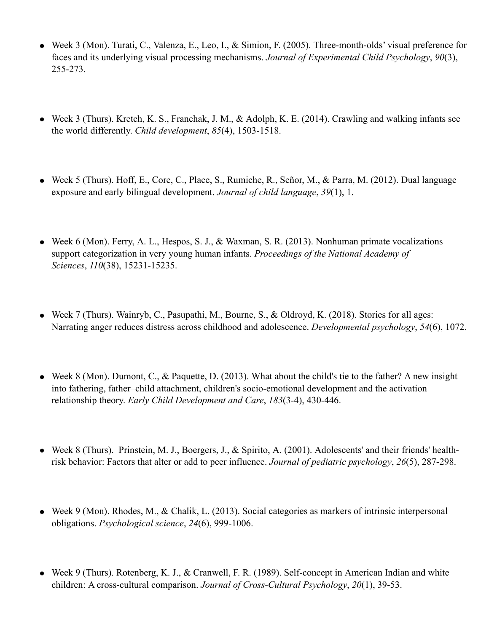- Week 3 (Mon). Turati, C., Valenza, E., Leo, I., & Simion, F. (2005). Three-month-olds' visual preference for faces and its underlying visual processing mechanisms. *Journal of Experimental Child Psychology*, *90*(3), 255-273.
- Week 3 (Thurs). Kretch, K. S., Franchak, J. M., & Adolph, K. E. (2014). Crawling and walking infants see the world differently. *Child development*, *85*(4), 1503-1518.
- Week 5 (Thurs). Hoff, E., Core, C., Place, S., Rumiche, R., Señor, M., & Parra, M. (2012). Dual language exposure and early bilingual development. *Journal of child language*, *39*(1), 1.
- Week 6 (Mon). Ferry, A. L., Hespos, S. J., & Waxman, S. R. (2013). Nonhuman primate vocalizations support categorization in very young human infants. *Proceedings of the National Academy of Sciences*, *110*(38), 15231-15235.
- Week 7 (Thurs). Wainryb, C., Pasupathi, M., Bourne, S., & Oldroyd, K. (2018). Stories for all ages: Narrating anger reduces distress across childhood and adolescence. *Developmental psychology*, *54*(6), 1072.
- Week 8 (Mon). Dumont, C., & Paquette, D. (2013). What about the child's tie to the father? A new insight into fathering, father–child attachment, children's socio-emotional development and the activation relationship theory. *Early Child Development and Care*, *183*(3-4), 430-446.
- Week 8 (Thurs). Prinstein, M. J., Boergers, J., & Spirito, A. (2001). Adolescents' and their friends' healthrisk behavior: Factors that alter or add to peer influence. *Journal of pediatric psychology*, *26*(5), 287-298.
- Week 9 (Mon). Rhodes, M., & Chalik, L. (2013). Social categories as markers of intrinsic interpersonal obligations. *Psychological science*, *24*(6), 999-1006.
- Week 9 (Thurs). Rotenberg, K. J., & Cranwell, F. R. (1989). Self-concept in American Indian and white children: A cross-cultural comparison. *Journal of Cross-Cultural Psychology*, *20*(1), 39-53.